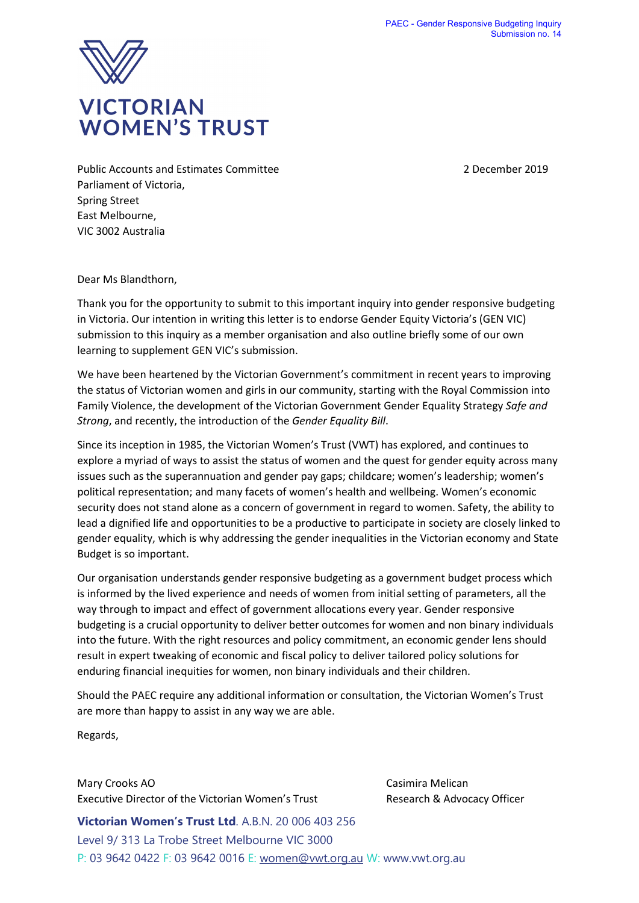

Public Accounts and Estimates Committee 2019 2019 Parliament of Victoria, Spring Street East Melbourne, VIC 3002 Australia

Dear Ms Blandthorn,

Thank you for the opportunity to submit to this important inquiry into gender responsive budgeting in Victoria. Our intention in writing this letter is to endorse Gender Equity Victoria's (GEN VIC) submission to this inquiry as a member organisation and also outline briefly some of our own learning to supplement GEN VIC's submission.

We have been heartened by the Victorian Government's commitment in recent years to improving the status of Victorian women and girls in our community, starting with the Royal Commission into Family Violence, the development of the Victorian Government Gender Equality Strategy *Safe and Strong*, and recently, the introduction of the *Gender Equality Bill*.

Since its inception in 1985, the Victorian Women's Trust (VWT) has explored, and continues to explore a myriad of ways to assist the status of women and the quest for gender equity across many issues such as the superannuation and gender pay gaps; childcare; women's leadership; women's political representation; and many facets of women's health and wellbeing. Women's economic security does not stand alone as a concern of government in regard to women. Safety, the ability to lead a dignified life and opportunities to be a productive to participate in society are closely linked to gender equality, which is why addressing the gender inequalities in the Victorian economy and State Budget is so important.

Our organisation understands gender responsive budgeting as a government budget process which is informed by the lived experience and needs of women from initial setting of parameters, all the way through to impact and effect of government allocations every year. Gender responsive budgeting is a crucial opportunity to deliver better outcomes for women and non binary individuals into the future. With the right resources and policy commitment, an economic gender lens should result in expert tweaking of economic and fiscal policy to deliver tailored policy solutions for enduring financial inequities for women, non binary individuals and their children.

Should the PAEC require any additional information or consultation, the Victorian Women's Trust are more than happy to assist in any way we are able.

Regards,

Mary Crooks AO **Casimira Melican** Executive Director of the Victorian Women's Trust Research & Advocacy Officer

**Victorian Women's Trust Ltd**. A.B.N. 20 006 403 256 Level 9/ 313 La Trobe Street Melbourne VIC 3000 P: 03 9642 0422 F: 03 9642 0016 E: [women@vwt.org.au](mailto:women@vwt.org.au) W: www.vwt.org.au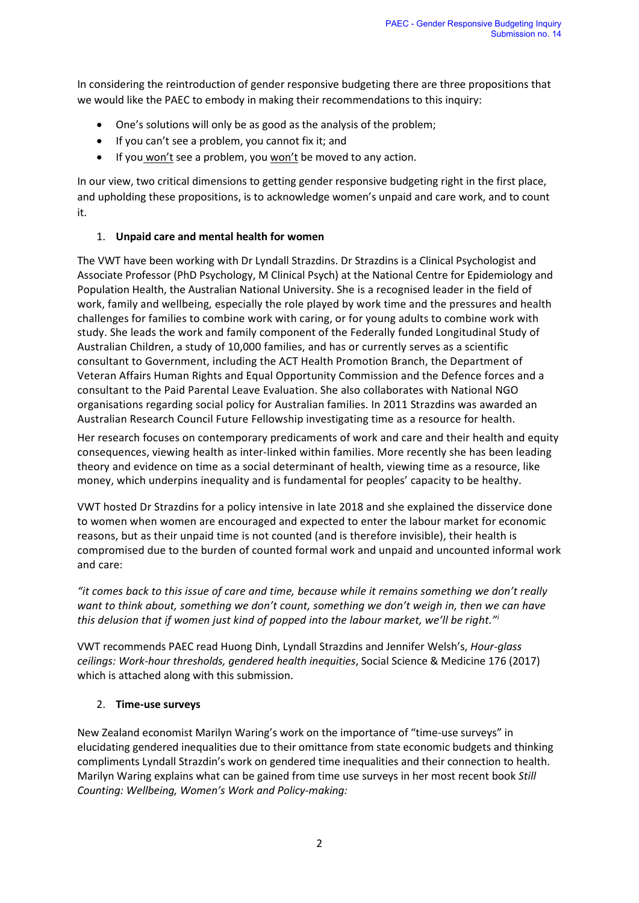In considering the reintroduction of gender responsive budgeting there are three propositions that we would like the PAEC to embody in making their recommendations to this inquiry:

- One's solutions will only be as good as the analysis of the problem;
- If you can't see a problem, you cannot fix it; and
- If you won't see a problem, you won't be moved to any action.

In our view, two critical dimensions to getting gender responsive budgeting right in the first place, and upholding these propositions, is to acknowledge women's unpaid and care work, and to count it.

# 1. **Unpaid care and mental health for women**

The VWT have been working with Dr Lyndall Strazdins. Dr Strazdins is a Clinical Psychologist and Associate Professor (PhD Psychology, M Clinical Psych) at the National Centre for Epidemiology and Population Health, the Australian National University. She is a recognised leader in the field of work, family and wellbeing, especially the role played by work time and the pressures and health challenges for families to combine work with caring, or for young adults to combine work with study. She leads the work and family component of the Federally funded Longitudinal Study of Australian Children, a study of 10,000 families, and has or currently serves as a scientific consultant to Government, including the ACT Health Promotion Branch, the Department of Veteran Affairs Human Rights and Equal Opportunity Commission and the Defence forces and a consultant to the Paid Parental Leave Evaluation. She also collaborates with National NGO organisations regarding social policy for Australian families. In 2011 Strazdins was awarded an Australian Research Council Future Fellowship investigating time as a resource for health.

Her research focuses on contemporary predicaments of work and care and their health and equity consequences, viewing health as inter-linked within families. More recently she has been leading theory and evidence on time as a social determinant of health, viewing time as a resource, like money, which underpins inequality and is fundamental for peoples' capacity to be healthy.

VWT hosted Dr Strazdins for a policy intensive in late 2018 and she explained the disservice done to women when women are encouraged and expected to enter the labour market for economic reasons, but as their unpaid time is not counted (and is therefore invisible), their health is compromised due to the burden of counted formal work and unpaid and uncounted informal work and care:

*"it comes back to this issue of care and time, because while it remains something we don't really want to think about, something we don't count, something we don't weigh in, then we can have this delusion that if women just kind of popped into the labour market, we'll be right."[i](#page-3-0)*

VWT recommends PAEC read Huong Dinh, Lyndall Strazdins and Jennifer Welsh's, *Hour-glass ceilings: Work-hour thresholds, gendered health inequities*, Social Science & Medicine 176 (2017) which is attached along with this submission.

# 2. **Time-use surveys**

New Zealand economist Marilyn Waring's work on the importance of "time-use surveys" in elucidating gendered inequalities due to their omittance from state economic budgets and thinking compliments Lyndall Strazdin's work on gendered time inequalities and their connection to health. Marilyn Waring explains what can be gained from time use surveys in her most recent book *Still Counting: Wellbeing, Women's Work and Policy-making:*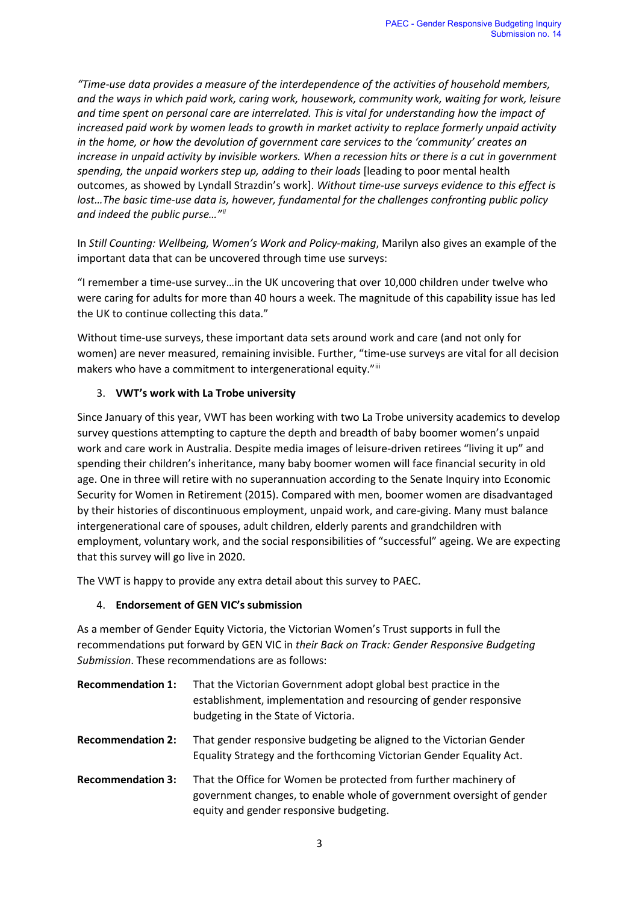*"Time-use data provides a measure of the interdependence of the activities of household members, and the ways in which paid work, caring work, housework, community work, waiting for work, leisure and time spent on personal care are interrelated. This is vital for understanding how the impact of increased paid work by women leads to growth in market activity to replace formerly unpaid activity in the home, or how the devolution of government care services to the 'community' creates an increase in unpaid activity by invisible workers. When a recession hits or there is a cut in government spending, the unpaid workers step up, adding to their loads* [leading to poor mental health outcomes, as showed by Lyndall Strazdin's work]. *Without time-use surveys evidence to this effect is lost…The basic time-use data is, however, fundamental for the challenges confronting public policy and indeed the public purse…"[ii](#page-3-1)*

In *Still Counting: Wellbeing, Women's Work and Policy-making*, Marilyn also gives an example of the important data that can be uncovered through time use surveys:

"I remember a time-use survey…in the UK uncovering that over 10,000 children under twelve who were caring for adults for more than 40 hours a week. The magnitude of this capability issue has led the UK to continue collecting this data."

Without time-use surveys, these important data sets around work and care (and not only for women) are never measured, remaining invisible. Further, "time-use surveys are vital for all decision makers who have a commitment to intergenerational equity."[iii](#page-3-2)

# 3. **VWT's work with La Trobe university**

Since January of this year, VWT has been working with two La Trobe university academics to develop survey questions attempting to capture the depth and breadth of baby boomer women's unpaid work and care work in Australia. Despite media images of leisure-driven retirees "living it up" and spending their children's inheritance, many baby boomer women will face financial security in old age. One in three will retire with no superannuation according to the Senate Inquiry into Economic Security for Women in Retirement (2015). Compared with men, boomer women are disadvantaged by their histories of discontinuous employment, unpaid work, and care-giving. Many must balance intergenerational care of spouses, adult children, elderly parents and grandchildren with employment, voluntary work, and the social responsibilities of "successful" ageing. We are expecting that this survey will go live in 2020.

The VWT is happy to provide any extra detail about this survey to PAEC.

# 4. **Endorsement of GEN VIC's submission**

As a member of Gender Equity Victoria, the Victorian Women's Trust supports in full the recommendations put forward by GEN VIC in *their Back on Track: Gender Responsive Budgeting Submission*. These recommendations are as follows:

| <b>Recommendation 1:</b> | That the Victorian Government adopt global best practice in the<br>establishment, implementation and resourcing of gender responsive<br>budgeting in the State of Victoria.          |
|--------------------------|--------------------------------------------------------------------------------------------------------------------------------------------------------------------------------------|
| <b>Recommendation 2:</b> | That gender responsive budgeting be aligned to the Victorian Gender<br>Equality Strategy and the forthcoming Victorian Gender Equality Act.                                          |
| <b>Recommendation 3:</b> | That the Office for Women be protected from further machinery of<br>government changes, to enable whole of government oversight of gender<br>equity and gender responsive budgeting. |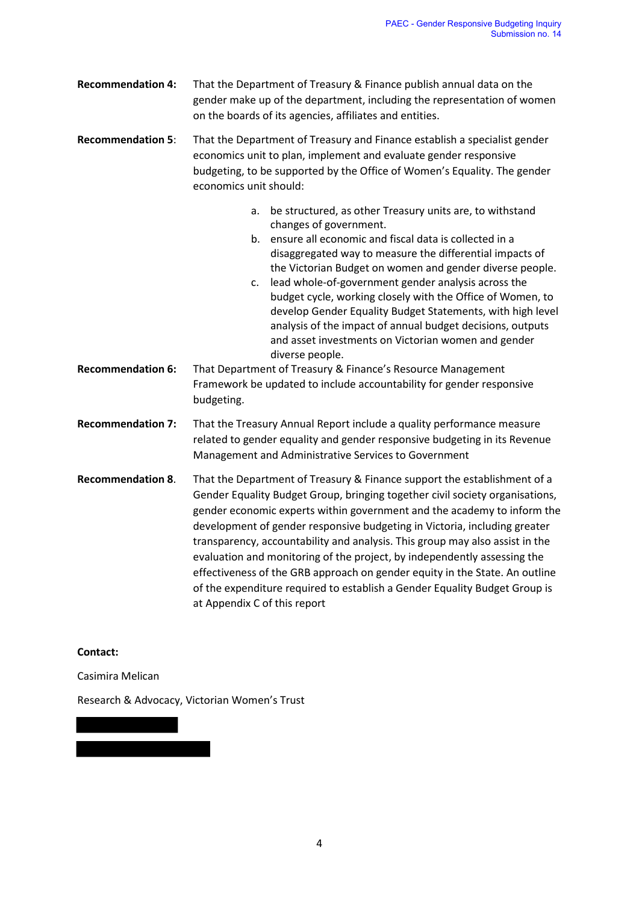| <b>Recommendation 4:</b> | That the Department of Treasury & Finance publish annual data on the    |
|--------------------------|-------------------------------------------------------------------------|
|                          | gender make up of the department, including the representation of women |
|                          | on the boards of its agencies, affiliates and entities.                 |

<span id="page-3-2"></span><span id="page-3-1"></span><span id="page-3-0"></span>**Recommendation 5**: That the Department of Treasury and Finance establish a specialist gender economics unit to plan, implement and evaluate gender responsive budgeting, to be supported by the Office of Women's Equality. The gender economics unit should:

- a. be structured, as other Treasury units are, to withstand changes of government.
- b. ensure all economic and fiscal data is collected in a disaggregated way to measure the differential impacts of the Victorian Budget on women and gender diverse people.
- c. lead whole-of-government gender analysis across the budget cycle, working closely with the Office of Women, to develop Gender Equality Budget Statements, with high level analysis of the impact of annual budget decisions, outputs and asset investments on Victorian women and gender diverse people.
- **Recommendation 6:** That Department of Treasury & Finance's Resource Management Framework be updated to include accountability for gender responsive budgeting.
- **Recommendation 7:** That the Treasury Annual Report include a quality performance measure related to gender equality and gender responsive budgeting in its Revenue Management and Administrative Services to Government
- **Recommendation 8**. That the Department of Treasury & Finance support the establishment of a Gender Equality Budget Group, bringing together civil society organisations, gender economic experts within government and the academy to inform the development of gender responsive budgeting in Victoria, including greater transparency, accountability and analysis. This group may also assist in the evaluation and monitoring of the project, by independently assessing the effectiveness of the GRB approach on gender equity in the State. An outline of the expenditure required to establish a Gender Equality Budget Group is at Appendix C of this report

# **Contact:**

Casimira Melican

Research & Advocacy, Victorian Women's Trust